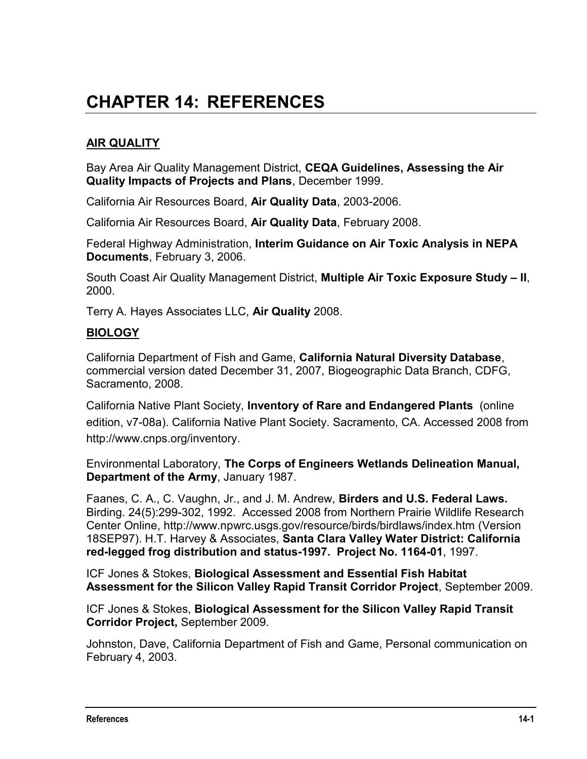# **CHAPTER 14: REFERENCES**

## **AIR QUALITY**

Bay Area Air Quality Management District, **CEQA Guidelines, Assessing the Air Quality Impacts of Projects and Plans**, December 1999.

California Air Resources Board, **Air Quality Data**, 2003-2006.

California Air Resources Board, **Air Quality Data**, February 2008.

Federal Highway Administration, **Interim Guidance on Air Toxic Analysis in NEPA Documents**, February 3, 2006.

South Coast Air Quality Management District, **Multiple Air Toxic Exposure Study – II**, 2000.

Terry A. Hayes Associates LLC, **Air Quality** 2008.

#### **BIOLOGY**

California Department of Fish and Game, **California Natural Diversity Database**, commercial version dated December 31, 2007, Biogeographic Data Branch, CDFG, Sacramento, 2008.

California Native Plant Society, **Inventory of Rare and Endangered Plants** (online edition, v7-08a). California Native Plant Society. Sacramento, CA. Accessed 2008 from [http://www.cnps.org/inventory.](http://www.cnps.org/inventory)

Environmental Laboratory, **The Corps of Engineers Wetlands Delineation Manual, Department of the Army**, January 1987.

Faanes, C. A., C. Vaughn, Jr., and J. M. Andrew, **Birders and U.S. Federal Laws.** Birding. 24(5):299-302, 1992. Accessed 2008 from Northern Prairie Wildlife Research Center Online, http://www.npwrc.usgs.gov/resource/birds/birdlaws/index.htm (Version 18SEP97). H.T. Harvey & Associates, **Santa Clara Valley Water District: California red-legged frog distribution and status-1997. Project No. 1164-01**, 1997.

ICF Jones & Stokes, **Biological Assessment and Essential Fish Habitat Assessment for the Silicon Valley Rapid Transit Corridor Project**, September 2009.

ICF Jones & Stokes, **Biological Assessment for the Silicon Valley Rapid Transit Corridor Project,** September 2009.

Johnston, Dave, California Department of Fish and Game, Personal communication on February 4, 2003.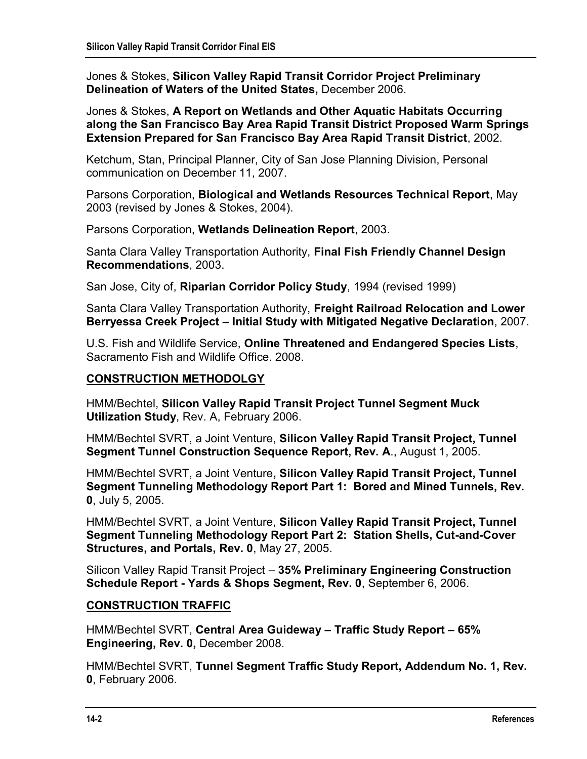Jones & Stokes, **Silicon Valley Rapid Transit Corridor Project Preliminary Delineation of Waters of the United States,** December 2006.

Jones & Stokes, **A Report on Wetlands and Other Aquatic Habitats Occurring along the San Francisco Bay Area Rapid Transit District Proposed Warm Springs Extension Prepared for San Francisco Bay Area Rapid Transit District**, 2002.

Ketchum, Stan, Principal Planner, City of San Jose Planning Division, Personal communication on December 11, 2007.

Parsons Corporation, **Biological and Wetlands Resources Technical Report**, May 2003 (revised by Jones & Stokes, 2004).

Parsons Corporation, **Wetlands Delineation Report**, 2003.

Santa Clara Valley Transportation Authority, **Final Fish Friendly Channel Design Recommendations**, 2003.

San Jose, City of, **Riparian Corridor Policy Study**, 1994 (revised 1999)

Santa Clara Valley Transportation Authority, **Freight Railroad Relocation and Lower Berryessa Creek Project – Initial Study with Mitigated Negative Declaration**, 2007.

U.S. Fish and Wildlife Service, **Online Threatened and Endangered Species Lists**, Sacramento Fish and Wildlife Office. 2008.

#### **CONSTRUCTION METHODOLGY**

HMM/Bechtel, **Silicon Valley Rapid Transit Project Tunnel Segment Muck Utilization Study**, Rev. A, February 2006.

HMM/Bechtel SVRT, a Joint Venture, **Silicon Valley Rapid Transit Project, Tunnel Segment Tunnel Construction Sequence Report, Rev. A**., August 1, 2005.

HMM/Bechtel SVRT, a Joint Venture**, Silicon Valley Rapid Transit Project, Tunnel Segment Tunneling Methodology Report Part 1: Bored and Mined Tunnels, Rev. 0**, July 5, 2005.

HMM/Bechtel SVRT, a Joint Venture, **Silicon Valley Rapid Transit Project, Tunnel Segment Tunneling Methodology Report Part 2: Station Shells, Cut-and-Cover Structures, and Portals, Rev. 0**, May 27, 2005.

Silicon Valley Rapid Transit Project – **35% Preliminary Engineering Construction Schedule Report - Yards & Shops Segment, Rev. 0**, September 6, 2006.

#### **CONSTRUCTION TRAFFIC**

HMM/Bechtel SVRT, **Central Area Guideway – Traffic Study Report – 65% Engineering, Rev. 0,** December 2008.

HMM/Bechtel SVRT, **Tunnel Segment Traffic Study Report, Addendum No. 1, Rev. 0**, February 2006.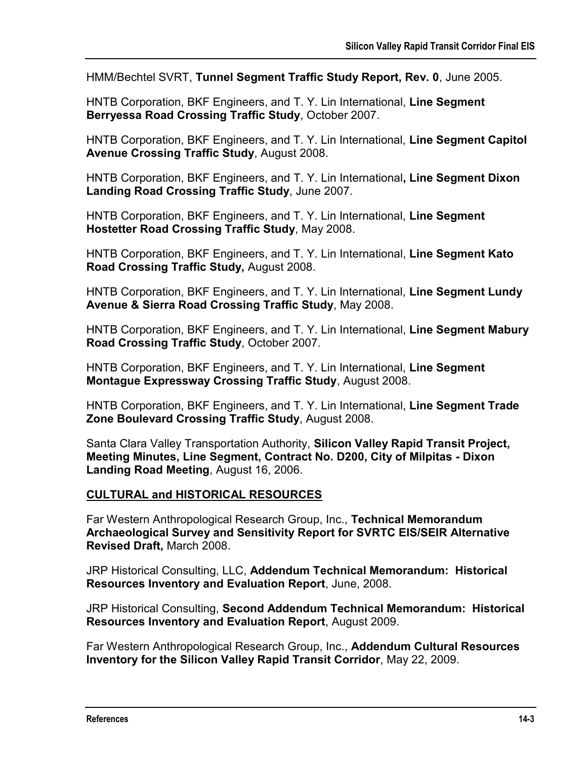HMM/Bechtel SVRT, **Tunnel Segment Traffic Study Report, Rev. 0**, June 2005.

HNTB Corporation, BKF Engineers, and T. Y. Lin International, **Line Segment Berryessa Road Crossing Traffic Study**, October 2007.

HNTB Corporation, BKF Engineers, and T. Y. Lin International, **Line Segment Capitol Avenue Crossing Traffic Study**, August 2008.

HNTB Corporation, BKF Engineers, and T. Y. Lin International**, Line Segment Dixon Landing Road Crossing Traffic Study**, June 2007.

HNTB Corporation, BKF Engineers, and T. Y. Lin International, **Line Segment Hostetter Road Crossing Traffic Study**, May 2008.

HNTB Corporation, BKF Engineers, and T. Y. Lin International, **Line Segment Kato Road Crossing Traffic Study,** August 2008.

HNTB Corporation, BKF Engineers, and T. Y. Lin International, **Line Segment Lundy Avenue & Sierra Road Crossing Traffic Study**, May 2008.

HNTB Corporation, BKF Engineers, and T. Y. Lin International, **Line Segment Mabury Road Crossing Traffic Study**, October 2007.

HNTB Corporation, BKF Engineers, and T. Y. Lin International, **Line Segment Montague Expressway Crossing Traffic Study**, August 2008.

HNTB Corporation, BKF Engineers, and T. Y. Lin International, **Line Segment Trade Zone Boulevard Crossing Traffic Study**, August 2008.

Santa Clara Valley Transportation Authority, **Silicon Valley Rapid Transit Project, Meeting Minutes, Line Segment, Contract No. D200, City of Milpitas - Dixon Landing Road Meeting**, August 16, 2006.

#### **CULTURAL and HISTORICAL RESOURCES**

Far Western Anthropological Research Group, Inc., **Technical Memorandum Archaeological Survey and Sensitivity Report for SVRTC EIS/SEIR Alternative Revised Draft,** March 2008.

JRP Historical Consulting, LLC, **Addendum Technical Memorandum: Historical Resources Inventory and Evaluation Report**, June, 2008.

JRP Historical Consulting, **Second Addendum Technical Memorandum: Historical Resources Inventory and Evaluation Report**, August 2009.

Far Western Anthropological Research Group, Inc., **Addendum Cultural Resources Inventory for the Silicon Valley Rapid Transit Corridor**, May 22, 2009.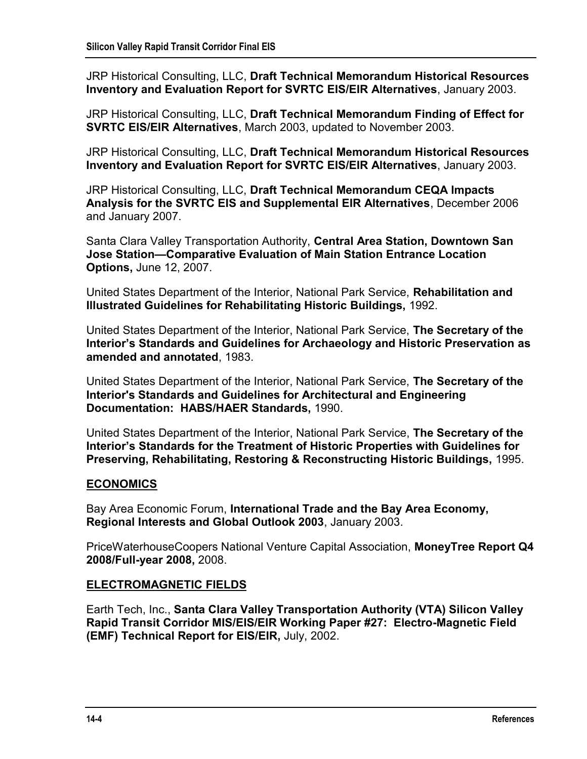JRP Historical Consulting, LLC, **Draft Technical Memorandum Historical Resources Inventory and Evaluation Report for SVRTC EIS/EIR Alternatives**, January 2003.

JRP Historical Consulting, LLC, **Draft Technical Memorandum Finding of Effect for SVRTC EIS/EIR Alternatives**, March 2003, updated to November 2003.

JRP Historical Consulting, LLC, **Draft Technical Memorandum Historical Resources Inventory and Evaluation Report for SVRTC EIS/EIR Alternatives**, January 2003.

JRP Historical Consulting, LLC, **Draft Technical Memorandum CEQA Impacts Analysis for the SVRTC EIS and Supplemental EIR Alternatives**, December 2006 and January 2007.

Santa Clara Valley Transportation Authority, **Central Area Station, Downtown San Jose Station—Comparative Evaluation of Main Station Entrance Location Options,** June 12, 2007.

United States Department of the Interior, National Park Service, **Rehabilitation and Illustrated Guidelines for Rehabilitating Historic Buildings,** 1992.

United States Department of the Interior, National Park Service, **The Secretary of the Interior's Standards and Guidelines for Archaeology and Historic Preservation as amended and annotated**, 1983.

United States Department of the Interior, National Park Service, **The Secretary of the Interior's Standards and Guidelines for Architectural and Engineering Documentation: HABS/HAER Standards,** 1990.

United States Department of the Interior, National Park Service, **The Secretary of the Interior's Standards for the Treatment of Historic Properties with Guidelines for Preserving, Rehabilitating, Restoring & Reconstructing Historic Buildings,** 1995.

## **ECONOMICS**

Bay Area Economic Forum, **International Trade and the Bay Area Economy, Regional Interests and Global Outlook 2003**, January 2003.

PriceWaterhouseCoopers National Venture Capital Association, **MoneyTree Report Q4 2008/Full-year 2008,** 2008.

## **ELECTROMAGNETIC FIELDS**

Earth Tech, Inc., **Santa Clara Valley Transportation Authority (VTA) Silicon Valley Rapid Transit Corridor MIS/EIS/EIR Working Paper #27: Electro-Magnetic Field (EMF) Technical Report for EIS/EIR,** July, 2002.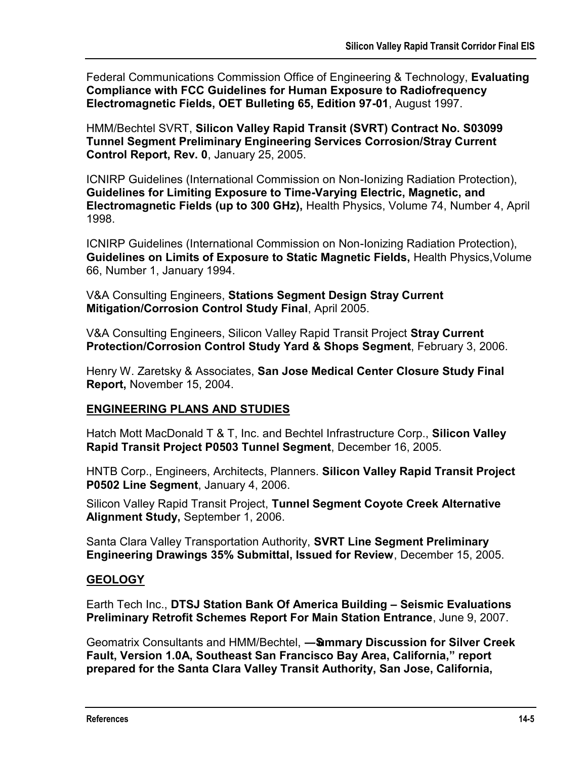Federal Communications Commission Office of Engineering & Technology, **Evaluating Compliance with FCC Guidelines for Human Exposure to Radiofrequency Electromagnetic Fields, OET Bulleting 65, Edition 97-01**, August 1997.

HMM/Bechtel SVRT, **Silicon Valley Rapid Transit (SVRT) Contract No. S03099 Tunnel Segment Preliminary Engineering Services Corrosion/Stray Current Control Report, Rev. 0**, January 25, 2005.

ICNIRP Guidelines (International Commission on Non-Ionizing Radiation Protection), **Guidelines for Limiting Exposure to Time-Varying Electric, Magnetic, and Electromagnetic Fields (up to 300 GHz),** Health Physics, Volume 74, Number 4, April 1998.

ICNIRP Guidelines (International Commission on Non-Ionizing Radiation Protection), **Guidelines on Limits of Exposure to Static Magnetic Fields,** Health Physics,Volume 66, Number 1, January 1994.

V&A Consulting Engineers, **Stations Segment Design Stray Current Mitigation/Corrosion Control Study Final**, April 2005.

V&A Consulting Engineers, Silicon Valley Rapid Transit Project **Stray Current Protection/Corrosion Control Study Yard & Shops Segment**, February 3, 2006.

Henry W. Zaretsky & Associates, **San Jose Medical Center Closure Study Final Report,** November 15, 2004.

## **ENGINEERING PLANS AND STUDIES**

Hatch Mott MacDonald T & T, Inc. and Bechtel Infrastructure Corp., **Silicon Valley Rapid Transit Project P0503 Tunnel Segment**, December 16, 2005.

HNTB Corp., Engineers, Architects, Planners. **Silicon Valley Rapid Transit Project P0502 Line Segment**, January 4, 2006.

Silicon Valley Rapid Transit Project, **Tunnel Segment Coyote Creek Alternative Alignment Study,** September 1, 2006.

Santa Clara Valley Transportation Authority, **SVRT Line Segment Preliminary Engineering Drawings 35% Submittal, Issued for Review**, December 15, 2005.

## **GEOLOGY**

Earth Tech Inc., **DTSJ Station Bank Of America Building – Seismic Evaluations Preliminary Retrofit Schemes Report For Main Station Entrance**, June 9, 2007.

Geomatrix Consultants and HMM/Bechtel, **—Summary Discussion for Silver Creek Fault, Version 1.0A, Southeast San Francisco Bay Area, California," report prepared for the Santa Clara Valley Transit Authority, San Jose, California,**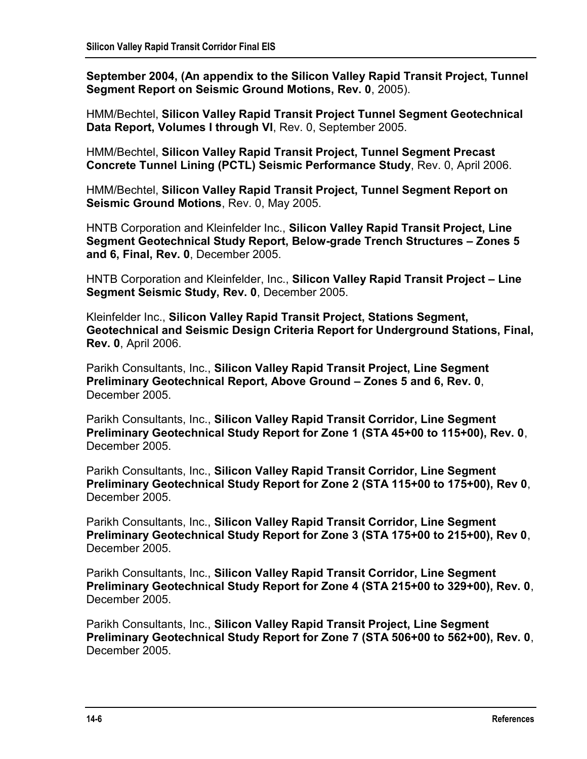**September 2004, (An appendix to the Silicon Valley Rapid Transit Project, Tunnel Segment Report on Seismic Ground Motions, Rev. 0**, 2005).

HMM/Bechtel, **Silicon Valley Rapid Transit Project Tunnel Segment Geotechnical Data Report, Volumes I through VI**, Rev. 0, September 2005.

HMM/Bechtel, **Silicon Valley Rapid Transit Project, Tunnel Segment Precast Concrete Tunnel Lining (PCTL) Seismic Performance Study**, Rev. 0, April 2006.

HMM/Bechtel, **Silicon Valley Rapid Transit Project, Tunnel Segment Report on Seismic Ground Motions**, Rev. 0, May 2005.

HNTB Corporation and Kleinfelder Inc., **Silicon Valley Rapid Transit Project, Line Segment Geotechnical Study Report, Below-grade Trench Structures – Zones 5 and 6, Final, Rev. 0**, December 2005.

HNTB Corporation and Kleinfelder, Inc., **Silicon Valley Rapid Transit Project – Line Segment Seismic Study, Rev. 0**, December 2005.

Kleinfelder Inc., **Silicon Valley Rapid Transit Project, Stations Segment, Geotechnical and Seismic Design Criteria Report for Underground Stations, Final, Rev. 0**, April 2006.

Parikh Consultants, Inc., **Silicon Valley Rapid Transit Project, Line Segment Preliminary Geotechnical Report, Above Ground – Zones 5 and 6, Rev. 0**, December 2005.

Parikh Consultants, Inc., **Silicon Valley Rapid Transit Corridor, Line Segment Preliminary Geotechnical Study Report for Zone 1 (STA 45+00 to 115+00), Rev. 0**, December 2005.

Parikh Consultants, Inc., **Silicon Valley Rapid Transit Corridor, Line Segment Preliminary Geotechnical Study Report for Zone 2 (STA 115+00 to 175+00), Rev 0**, December 2005.

Parikh Consultants, Inc., **Silicon Valley Rapid Transit Corridor, Line Segment Preliminary Geotechnical Study Report for Zone 3 (STA 175+00 to 215+00), Rev 0**, December 2005.

Parikh Consultants, Inc., **Silicon Valley Rapid Transit Corridor, Line Segment Preliminary Geotechnical Study Report for Zone 4 (STA 215+00 to 329+00), Rev. 0**, December 2005.

Parikh Consultants, Inc., **Silicon Valley Rapid Transit Project, Line Segment Preliminary Geotechnical Study Report for Zone 7 (STA 506+00 to 562+00), Rev. 0**, December 2005.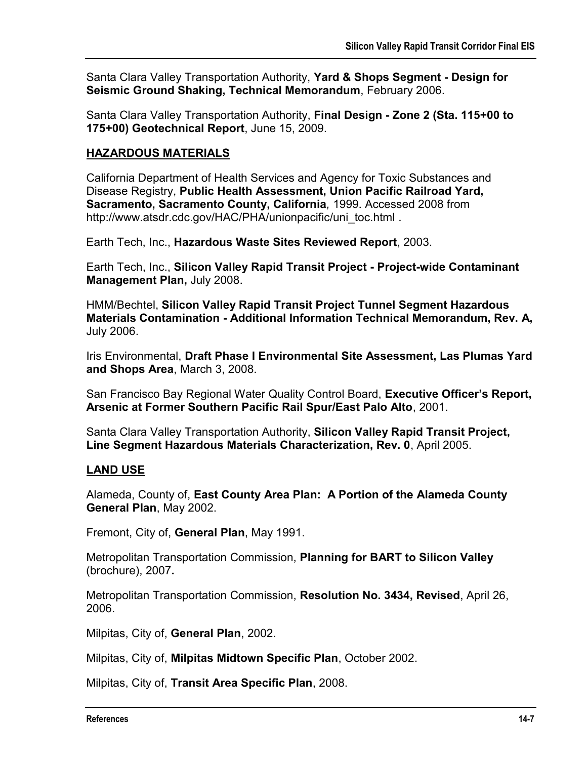Santa Clara Valley Transportation Authority, **Yard & Shops Segment - Design for Seismic Ground Shaking, Technical Memorandum**, February 2006.

Santa Clara Valley Transportation Authority, **Final Design - Zone 2 (Sta. 115+00 to 175+00) Geotechnical Report**, June 15, 2009.

#### **HAZARDOUS MATERIALS**

California Department of Health Services and Agency for Toxic Substances and Disease Registry, **Public Health Assessment, Union Pacific Railroad Yard, Sacramento, Sacramento County, California***,* 1999. Accessed 2008 from http://www.atsdr.cdc.gov/HAC/PHA/unionpacific/uni\_toc.html .

Earth Tech, Inc., **Hazardous Waste Sites Reviewed Report**, 2003.

Earth Tech, Inc., **Silicon Valley Rapid Transit Project - Project-wide Contaminant Management Plan,** July 2008.

HMM/Bechtel, **Silicon Valley Rapid Transit Project Tunnel Segment Hazardous Materials Contamination - Additional Information Technical Memorandum, Rev. A,** July 2006.

Iris Environmental, **Draft Phase I Environmental Site Assessment, Las Plumas Yard and Shops Area**, March 3, 2008.

San Francisco Bay Regional Water Quality Control Board, **Executive Officer's Report, Arsenic at Former Southern Pacific Rail Spur/East Palo Alto**, 2001.

Santa Clara Valley Transportation Authority, **Silicon Valley Rapid Transit Project, Line Segment Hazardous Materials Characterization, Rev. 0**, April 2005.

## **LAND USE**

Alameda, County of, **East County Area Plan: A Portion of the Alameda County General Plan**, May 2002.

Fremont, City of, **General Plan**, May 1991.

Metropolitan Transportation Commission, **Planning for BART to Silicon Valley**  (brochure), 2007**.** 

Metropolitan Transportation Commission, **Resolution No. 3434, Revised**, April 26, 2006.

Milpitas, City of, **General Plan**, 2002.

Milpitas, City of, **Milpitas Midtown Specific Plan**, October 2002.

Milpitas, City of, **Transit Area Specific Plan**, 2008.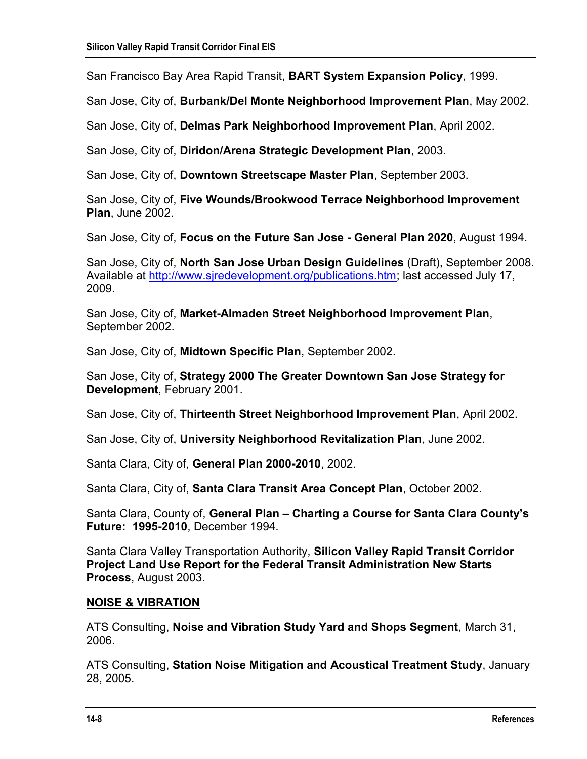San Francisco Bay Area Rapid Transit, **BART System Expansion Policy**, 1999.

San Jose, City of, **Burbank/Del Monte Neighborhood Improvement Plan**, May 2002.

San Jose, City of, **Delmas Park Neighborhood Improvement Plan**, April 2002.

San Jose, City of, **Diridon/Arena Strategic Development Plan**, 2003.

San Jose, City of, **Downtown Streetscape Master Plan**, September 2003.

San Jose, City of, **Five Wounds/Brookwood Terrace Neighborhood Improvement Plan**, June 2002.

San Jose, City of, **Focus on the Future San Jose - General Plan 2020**, August 1994.

San Jose, City of, **North San Jose Urban Design Guidelines** (Draft), September 2008. Available at [http://www.sjredevelopment.org/publications.htm;](http://www.sjredevelopment.org/publications.htm) last accessed July 17, 2009.

San Jose, City of, **Market-Almaden Street Neighborhood Improvement Plan**, September 2002.

San Jose, City of, **Midtown Specific Plan**, September 2002.

San Jose, City of, **Strategy 2000 The Greater Downtown San Jose Strategy for Development**, February 2001.

San Jose, City of, **Thirteenth Street Neighborhood Improvement Plan**, April 2002.

San Jose, City of, **University Neighborhood Revitalization Plan**, June 2002.

Santa Clara, City of, **General Plan 2000-2010**, 2002.

Santa Clara, City of, **Santa Clara Transit Area Concept Plan**, October 2002.

Santa Clara, County of, **General Plan – Charting a Course for Santa Clara County's Future: 1995-2010**, December 1994.

Santa Clara Valley Transportation Authority, **Silicon Valley Rapid Transit Corridor Project Land Use Report for the Federal Transit Administration New Starts Process**, August 2003.

#### **NOISE & VIBRATION**

ATS Consulting, **Noise and Vibration Study Yard and Shops Segment**, March 31, 2006.

ATS Consulting, **Station Noise Mitigation and Acoustical Treatment Study**, January 28, 2005.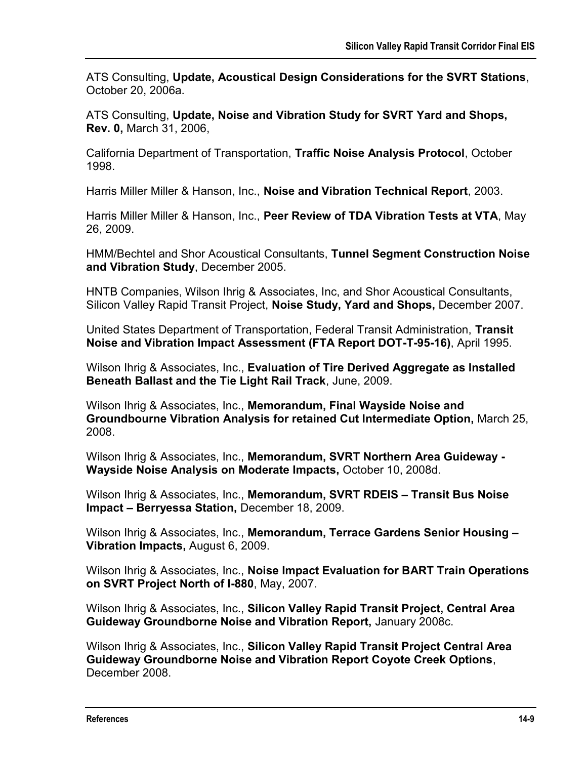ATS Consulting, **Update, Acoustical Design Considerations for the SVRT Stations**, October 20, 2006a.

ATS Consulting, **Update, Noise and Vibration Study for SVRT Yard and Shops, Rev. 0,** March 31, 2006,

California Department of Transportation, **Traffic Noise Analysis Protocol**, October 1998.

Harris Miller Miller & Hanson, Inc., **Noise and Vibration Technical Report**, 2003.

Harris Miller Miller & Hanson, Inc., **Peer Review of TDA Vibration Tests at VTA**, May 26, 2009.

HMM/Bechtel and Shor Acoustical Consultants, **Tunnel Segment Construction Noise and Vibration Study**, December 2005.

HNTB Companies, Wilson Ihrig & Associates, Inc, and Shor Acoustical Consultants, Silicon Valley Rapid Transit Project, **Noise Study, Yard and Shops,** December 2007.

United States Department of Transportation, Federal Transit Administration, **Transit Noise and Vibration Impact Assessment (FTA Report DOT-T-95-16)**, April 1995.

Wilson Ihrig & Associates, Inc., **Evaluation of Tire Derived Aggregate as Installed Beneath Ballast and the Tie Light Rail Track**, June, 2009.

Wilson Ihrig & Associates, Inc., **Memorandum, Final Wayside Noise and Groundbourne Vibration Analysis for retained Cut Intermediate Option,** March 25, 2008.

Wilson Ihrig & Associates, Inc., **Memorandum, SVRT Northern Area Guideway - Wayside Noise Analysis on Moderate Impacts,** October 10, 2008d.

Wilson Ihrig & Associates, Inc., **Memorandum, SVRT RDEIS – Transit Bus Noise Impact – Berryessa Station,** December 18, 2009.

Wilson Ihrig & Associates, Inc., **Memorandum, Terrace Gardens Senior Housing – Vibration Impacts,** August 6, 2009.

Wilson Ihrig & Associates, Inc., **Noise Impact Evaluation for BART Train Operations on SVRT Project North of I-880**, May, 2007.

Wilson Ihrig & Associates, Inc., **Silicon Valley Rapid Transit Project, Central Area Guideway Groundborne Noise and Vibration Report,** January 2008c.

Wilson Ihrig & Associates, Inc., **Silicon Valley Rapid Transit Project Central Area Guideway Groundborne Noise and Vibration Report Coyote Creek Options**, December 2008.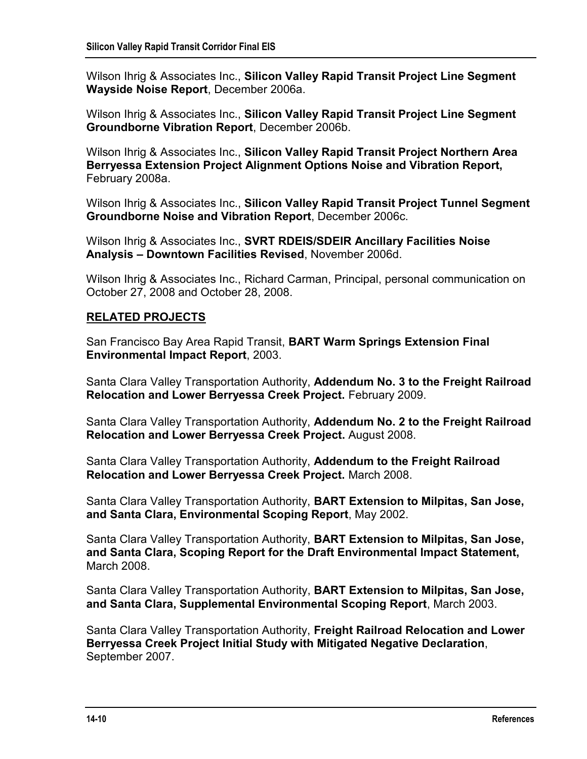Wilson Ihrig & Associates Inc., **Silicon Valley Rapid Transit Project Line Segment Wayside Noise Report**, December 2006a.

Wilson Ihrig & Associates Inc., **Silicon Valley Rapid Transit Project Line Segment Groundborne Vibration Report**, December 2006b.

Wilson Ihrig & Associates Inc., **Silicon Valley Rapid Transit Project Northern Area Berryessa Extension Project Alignment Options Noise and Vibration Report,**  February 2008a.

Wilson Ihrig & Associates Inc., **Silicon Valley Rapid Transit Project Tunnel Segment Groundborne Noise and Vibration Report**, December 2006c.

Wilson Ihrig & Associates Inc., **SVRT RDEIS/SDEIR Ancillary Facilities Noise Analysis – Downtown Facilities Revised**, November 2006d.

Wilson Ihrig & Associates Inc., Richard Carman, Principal, personal communication on October 27, 2008 and October 28, 2008.

## **RELATED PROJECTS**

San Francisco Bay Area Rapid Transit, **BART Warm Springs Extension Final Environmental Impact Report**, 2003.

Santa Clara Valley Transportation Authority, **Addendum No. 3 to the Freight Railroad Relocation and Lower Berryessa Creek Project.** February 2009.

Santa Clara Valley Transportation Authority, **Addendum No. 2 to the Freight Railroad Relocation and Lower Berryessa Creek Project.** August 2008.

Santa Clara Valley Transportation Authority, **Addendum to the Freight Railroad Relocation and Lower Berryessa Creek Project.** March 2008.

Santa Clara Valley Transportation Authority, **BART Extension to Milpitas, San Jose, and Santa Clara, Environmental Scoping Report**, May 2002.

Santa Clara Valley Transportation Authority, **BART Extension to Milpitas, San Jose, and Santa Clara, Scoping Report for the Draft Environmental Impact Statement,**  March 2008.

Santa Clara Valley Transportation Authority, **BART Extension to Milpitas, San Jose, and Santa Clara, Supplemental Environmental Scoping Report**, March 2003.

Santa Clara Valley Transportation Authority, **Freight Railroad Relocation and Lower Berryessa Creek Project Initial Study with Mitigated Negative Declaration**, September 2007.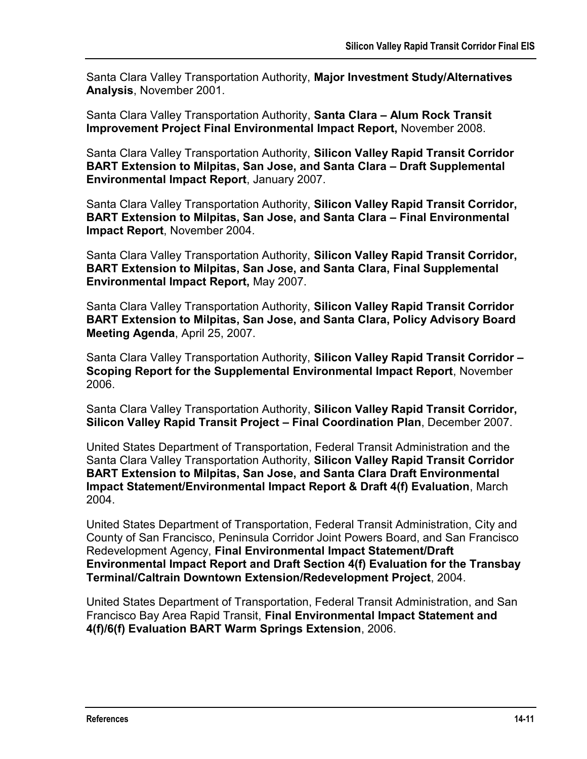Santa Clara Valley Transportation Authority, **Major Investment Study/Alternatives Analysis**, November 2001.

Santa Clara Valley Transportation Authority, **Santa Clara – Alum Rock Transit Improvement Project Final Environmental Impact Report,** November 2008.

Santa Clara Valley Transportation Authority, **Silicon Valley Rapid Transit Corridor BART Extension to Milpitas, San Jose, and Santa Clara – Draft Supplemental Environmental Impact Report**, January 2007.

Santa Clara Valley Transportation Authority, **Silicon Valley Rapid Transit Corridor, BART Extension to Milpitas, San Jose, and Santa Clara – Final Environmental Impact Report**, November 2004.

Santa Clara Valley Transportation Authority, **Silicon Valley Rapid Transit Corridor, BART Extension to Milpitas, San Jose, and Santa Clara, Final Supplemental Environmental Impact Report,** May 2007.

Santa Clara Valley Transportation Authority, **Silicon Valley Rapid Transit Corridor BART Extension to Milpitas, San Jose, and Santa Clara, Policy Advisory Board Meeting Agenda**, April 25, 2007.

Santa Clara Valley Transportation Authority, **Silicon Valley Rapid Transit Corridor – Scoping Report for the Supplemental Environmental Impact Report**, November 2006.

Santa Clara Valley Transportation Authority, **Silicon Valley Rapid Transit Corridor, Silicon Valley Rapid Transit Project – Final Coordination Plan**, December 2007.

United States Department of Transportation, Federal Transit Administration and the Santa Clara Valley Transportation Authority, **Silicon Valley Rapid Transit Corridor BART Extension to Milpitas, San Jose, and Santa Clara Draft Environmental Impact Statement/Environmental Impact Report & Draft 4(f) Evaluation**, March 2004.

United States Department of Transportation, Federal Transit Administration, City and County of San Francisco, Peninsula Corridor Joint Powers Board, and San Francisco Redevelopment Agency, **Final Environmental Impact Statement/Draft Environmental Impact Report and Draft Section 4(f) Evaluation for the Transbay Terminal/Caltrain Downtown Extension/Redevelopment Project**, 2004.

United States Department of Transportation, Federal Transit Administration, and San Francisco Bay Area Rapid Transit, **Final Environmental Impact Statement and 4(f)/6(f) Evaluation BART Warm Springs Extension**, 2006.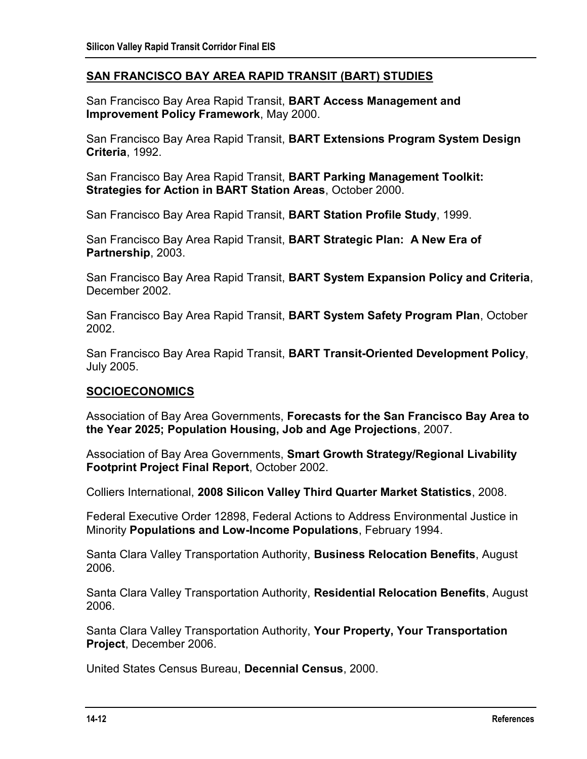#### **SAN FRANCISCO BAY AREA RAPID TRANSIT (BART) STUDIES**

San Francisco Bay Area Rapid Transit, **BART Access Management and Improvement Policy Framework**, May 2000.

San Francisco Bay Area Rapid Transit, **BART Extensions Program System Design Criteria**, 1992.

San Francisco Bay Area Rapid Transit, **BART Parking Management Toolkit: Strategies for Action in BART Station Areas**, October 2000.

San Francisco Bay Area Rapid Transit, **BART Station Profile Study**, 1999.

San Francisco Bay Area Rapid Transit, **BART Strategic Plan: A New Era of Partnership**, 2003.

San Francisco Bay Area Rapid Transit, **BART System Expansion Policy and Criteria**, December 2002.

San Francisco Bay Area Rapid Transit, **BART System Safety Program Plan**, October 2002.

San Francisco Bay Area Rapid Transit, **BART Transit-Oriented Development Policy**, July 2005.

#### **SOCIOECONOMICS**

Association of Bay Area Governments, **Forecasts for the San Francisco Bay Area to the Year 2025; Population Housing, Job and Age Projections**, 2007.

Association of Bay Area Governments, **Smart Growth Strategy/Regional Livability Footprint Project Final Report**, October 2002.

Colliers International, **2008 Silicon Valley Third Quarter Market Statistics**, 2008.

Federal Executive Order 12898, Federal Actions to Address Environmental Justice in Minority **Populations and Low-Income Populations**, February 1994.

Santa Clara Valley Transportation Authority, **Business Relocation Benefits**, August 2006.

Santa Clara Valley Transportation Authority, **Residential Relocation Benefits**, August 2006.

Santa Clara Valley Transportation Authority, **Your Property, Your Transportation Project**, December 2006.

United States Census Bureau, **Decennial Census**, 2000.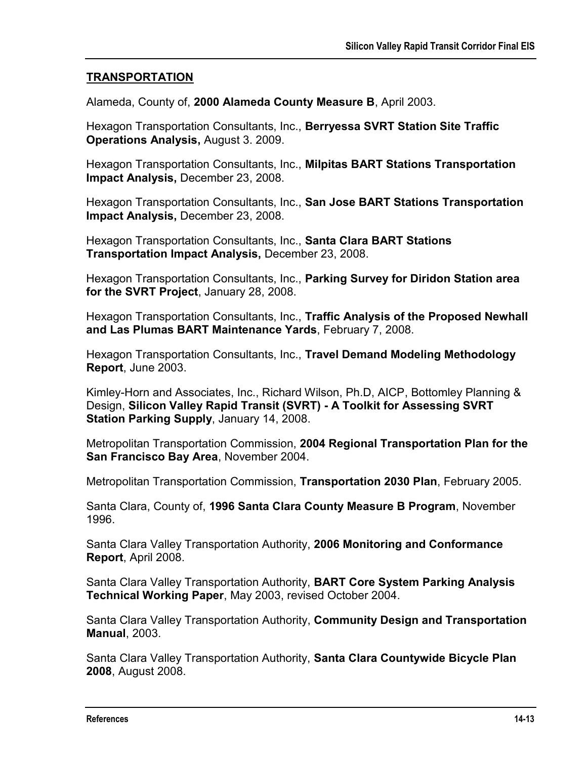#### **TRANSPORTATION**

Alameda, County of, **2000 Alameda County Measure B**, April 2003.

Hexagon Transportation Consultants, Inc., **Berryessa SVRT Station Site Traffic Operations Analysis,** August 3. 2009.

Hexagon Transportation Consultants, Inc., **Milpitas BART Stations Transportation Impact Analysis,** December 23, 2008.

Hexagon Transportation Consultants, Inc., **San Jose BART Stations Transportation Impact Analysis,** December 23, 2008.

Hexagon Transportation Consultants, Inc., **Santa Clara BART Stations Transportation Impact Analysis,** December 23, 2008.

Hexagon Transportation Consultants, Inc., **Parking Survey for Diridon Station area for the SVRT Project**, January 28, 2008.

Hexagon Transportation Consultants, Inc., **Traffic Analysis of the Proposed Newhall and Las Plumas BART Maintenance Yards**, February 7, 2008.

Hexagon Transportation Consultants, Inc., **Travel Demand Modeling Methodology Report**, June 2003.

Kimley-Horn and Associates, Inc., Richard Wilson, Ph.D, AICP, Bottomley Planning & Design, **Silicon Valley Rapid Transit (SVRT) - A Toolkit for Assessing SVRT Station Parking Supply**, January 14, 2008.

Metropolitan Transportation Commission, **2004 Regional Transportation Plan for the San Francisco Bay Area**, November 2004.

Metropolitan Transportation Commission, **Transportation 2030 Plan**, February 2005.

Santa Clara, County of, **1996 Santa Clara County Measure B Program**, November 1996.

Santa Clara Valley Transportation Authority, **2006 Monitoring and Conformance Report**, April 2008.

Santa Clara Valley Transportation Authority, **BART Core System Parking Analysis Technical Working Paper**, May 2003, revised October 2004.

Santa Clara Valley Transportation Authority, **Community Design and Transportation Manual**, 2003.

Santa Clara Valley Transportation Authority, **Santa Clara Countywide Bicycle Plan 2008**, August 2008.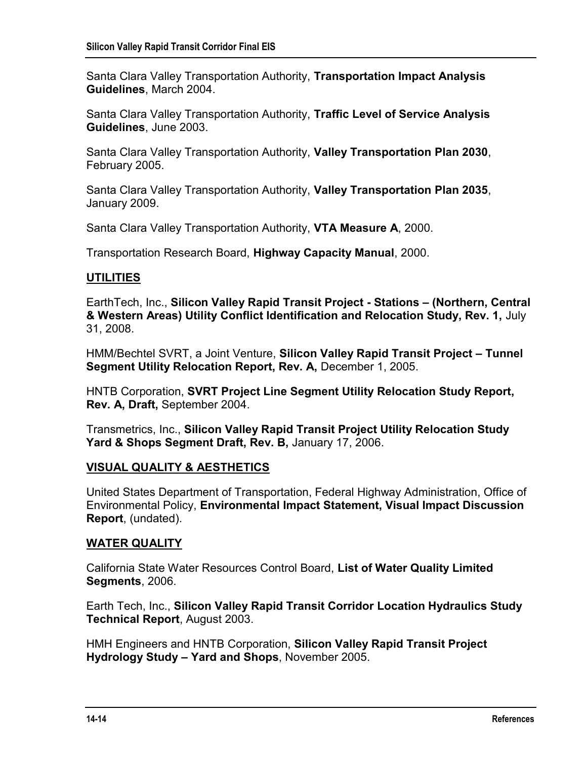Santa Clara Valley Transportation Authority, **Transportation Impact Analysis Guidelines**, March 2004.

Santa Clara Valley Transportation Authority, **Traffic Level of Service Analysis Guidelines**, June 2003.

Santa Clara Valley Transportation Authority, **Valley Transportation Plan 2030**, February 2005.

Santa Clara Valley Transportation Authority, **Valley Transportation Plan 2035**, January 2009.

Santa Clara Valley Transportation Authority, **VTA Measure A**, 2000.

Transportation Research Board, **Highway Capacity Manual**, 2000.

## **UTILITIES**

EarthTech, Inc., **Silicon Valley Rapid Transit Project - Stations – (Northern, Central & Western Areas) Utility Conflict Identification and Relocation Study, Rev. 1,** July 31, 2008.

HMM/Bechtel SVRT, a Joint Venture, **Silicon Valley Rapid Transit Project – Tunnel Segment Utility Relocation Report, Rev. A,** December 1, 2005.

HNTB Corporation, **SVRT Project Line Segment Utility Relocation Study Report, Rev. A, Draft,** September 2004.

Transmetrics, Inc., **Silicon Valley Rapid Transit Project Utility Relocation Study Yard & Shops Segment Draft, Rev. B,** January 17, 2006.

## **VISUAL QUALITY & AESTHETICS**

United States Department of Transportation, Federal Highway Administration, Office of Environmental Policy, **Environmental Impact Statement, Visual Impact Discussion Report**, (undated).

## **WATER QUALITY**

California State Water Resources Control Board, **List of Water Quality Limited Segments**, 2006.

Earth Tech, Inc., **Silicon Valley Rapid Transit Corridor Location Hydraulics Study Technical Report**, August 2003.

HMH Engineers and HNTB Corporation, **Silicon Valley Rapid Transit Project Hydrology Study – Yard and Shops**, November 2005.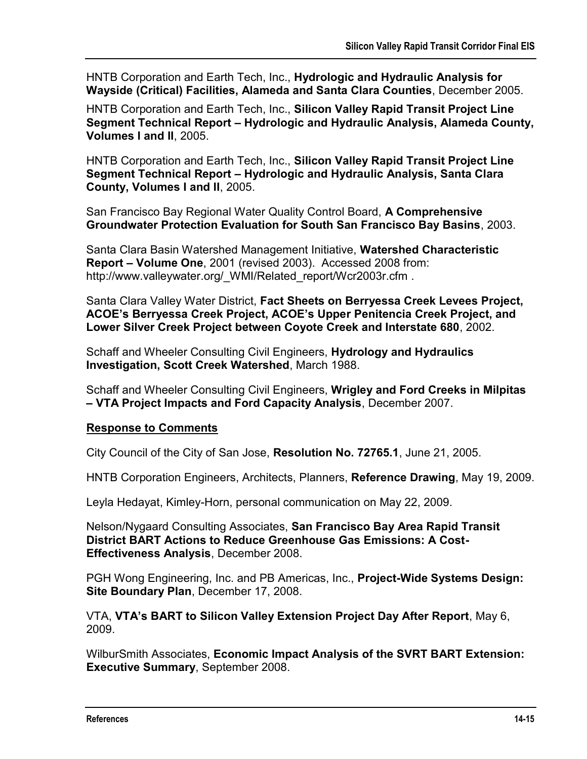HNTB Corporation and Earth Tech, Inc., **Hydrologic and Hydraulic Analysis for Wayside (Critical) Facilities, Alameda and Santa Clara Counties**, December 2005.

HNTB Corporation and Earth Tech, Inc., **Silicon Valley Rapid Transit Project Line Segment Technical Report – Hydrologic and Hydraulic Analysis, Alameda County, Volumes I and II**, 2005.

HNTB Corporation and Earth Tech, Inc., **Silicon Valley Rapid Transit Project Line Segment Technical Report – Hydrologic and Hydraulic Analysis, Santa Clara County, Volumes I and II**, 2005.

San Francisco Bay Regional Water Quality Control Board, **A Comprehensive Groundwater Protection Evaluation for South San Francisco Bay Basins**, 2003.

Santa Clara Basin Watershed Management Initiative, **Watershed Characteristic Report – Volume One**, 2001 (revised 2003). Accessed 2008 from: http://www.valleywater.org/ WMI/Related report/Wcr2003r.cfm .

Santa Clara Valley Water District, **Fact Sheets on Berryessa Creek Levees Project, ACOE's Berryessa Creek Project, ACOE's Upper Penitencia Creek Project, and Lower Silver Creek Project between Coyote Creek and Interstate 680**, 2002.

Schaff and Wheeler Consulting Civil Engineers, **Hydrology and Hydraulics Investigation, Scott Creek Watershed**, March 1988.

Schaff and Wheeler Consulting Civil Engineers, **Wrigley and Ford Creeks in Milpitas – VTA Project Impacts and Ford Capacity Analysis**, December 2007.

#### **Response to Comments**

City Council of the City of San Jose, **Resolution No. 72765.1**, June 21, 2005.

HNTB Corporation Engineers, Architects, Planners, **Reference Drawing**, May 19, 2009.

Leyla Hedayat, Kimley-Horn, personal communication on May 22, 2009.

Nelson/Nygaard Consulting Associates, **San Francisco Bay Area Rapid Transit District BART Actions to Reduce Greenhouse Gas Emissions: A Cost-Effectiveness Analysis**, December 2008.

PGH Wong Engineering, Inc. and PB Americas, Inc., **Project-Wide Systems Design: Site Boundary Plan**, December 17, 2008.

VTA, **VTA's BART to Silicon Valley Extension Project Day After Report**, May 6, 2009.

WilburSmith Associates, **Economic Impact Analysis of the SVRT BART Extension: Executive Summary**, September 2008.